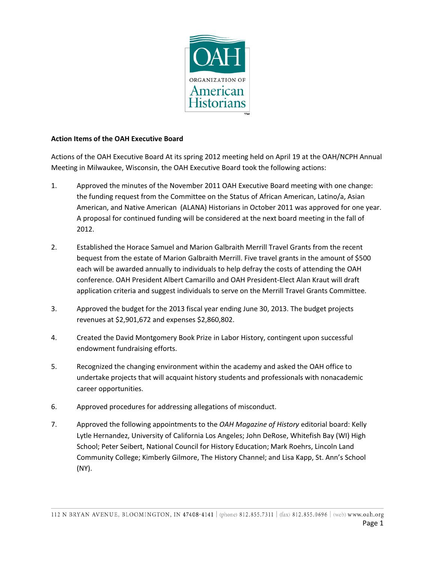

## **Action Items of the OAH Executive Board**

Actions of the OAH Executive Board At its spring 2012 meeting held on April 19 at the OAH/NCPH Annual Meeting in Milwaukee, Wisconsin, the OAH Executive Board took the following actions:

- 1. Approved the minutes of the November 2011 OAH Executive Board meeting with one change: the funding request from the Committee on the Status of African American, Latino/a, Asian American, and Native American (ALANA) Historians in October 2011 was approved for one year. A proposal for continued funding will be considered at the next board meeting in the fall of 2012.
- 2. Established the Horace Samuel and Marion Galbraith Merrill Travel Grants from the recent bequest from the estate of Marion Galbraith Merrill. Five travel grants in the amount of \$500 each will be awarded annually to individuals to help defray the costs of attending the OAH conference. OAH President Albert Camarillo and OAH President-Elect Alan Kraut will draft application criteria and suggest individuals to serve on the Merrill Travel Grants Committee.
- 3. Approved the budget for the 2013 fiscal year ending June 30, 2013. The budget projects revenues at \$2,901,672 and expenses \$2,860,802.
- 4. Created the David Montgomery Book Prize in Labor History, contingent upon successful endowment fundraising efforts.
- 5. Recognized the changing environment within the academy and asked the OAH office to undertake projects that will acquaint history students and professionals with nonacademic career opportunities.
- 6. Approved procedures for addressing allegations of misconduct.
- 7. Approved the following appointments to the *OAH Magazine of History* editorial board: Kelly Lytle Hernandez, University of California Los Angeles; John DeRose, Whitefish Bay (WI) High School; Peter Seibert, National Council for History Education; Mark Roehrs, Lincoln Land Community College; Kimberly Gilmore, The History Channel; and Lisa Kapp, St. Ann's School (NY).